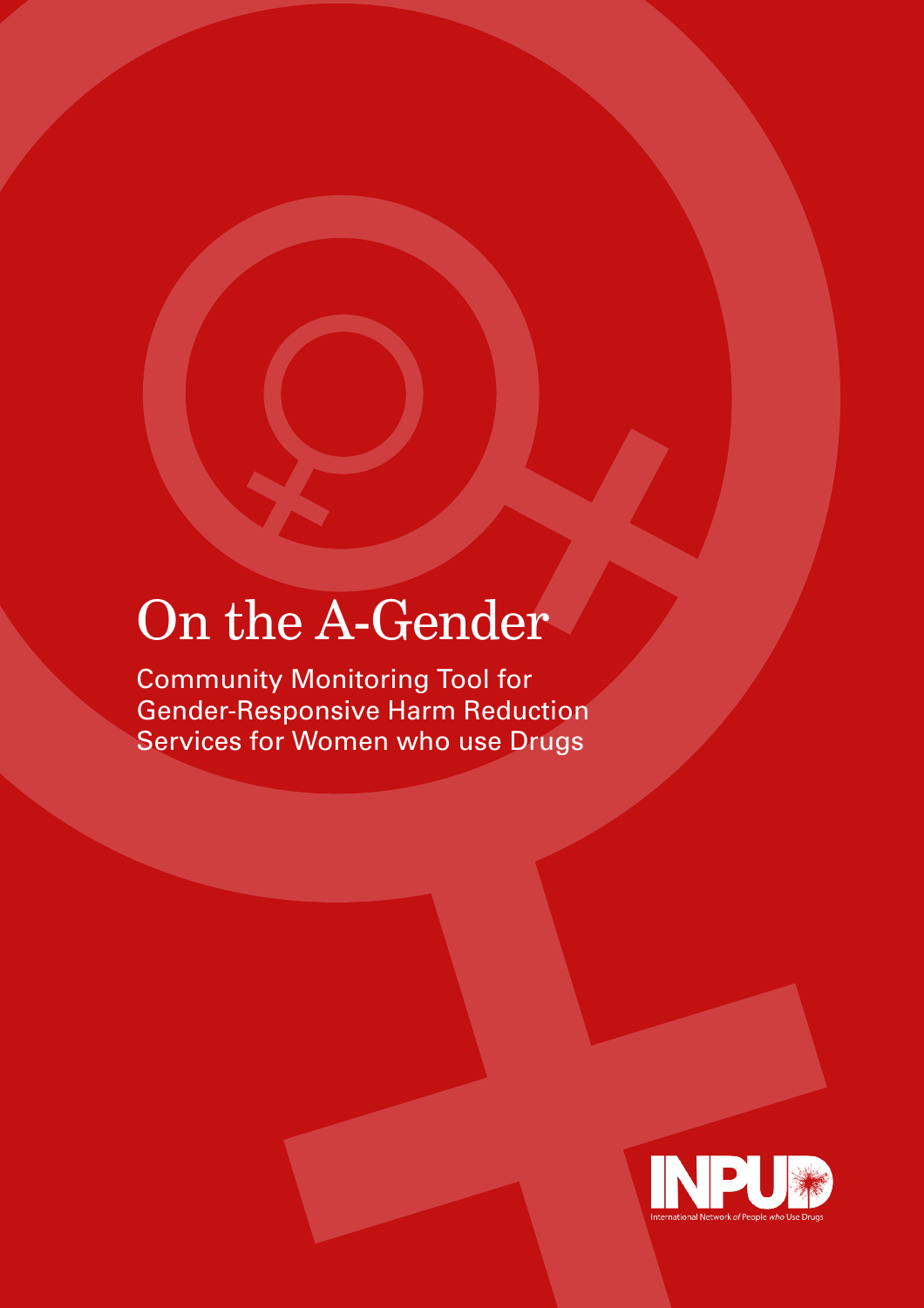# On the A-Gender

Community Monitoring Tool for Gender-Responsive Harm Reduction Services for Women who use Drugs

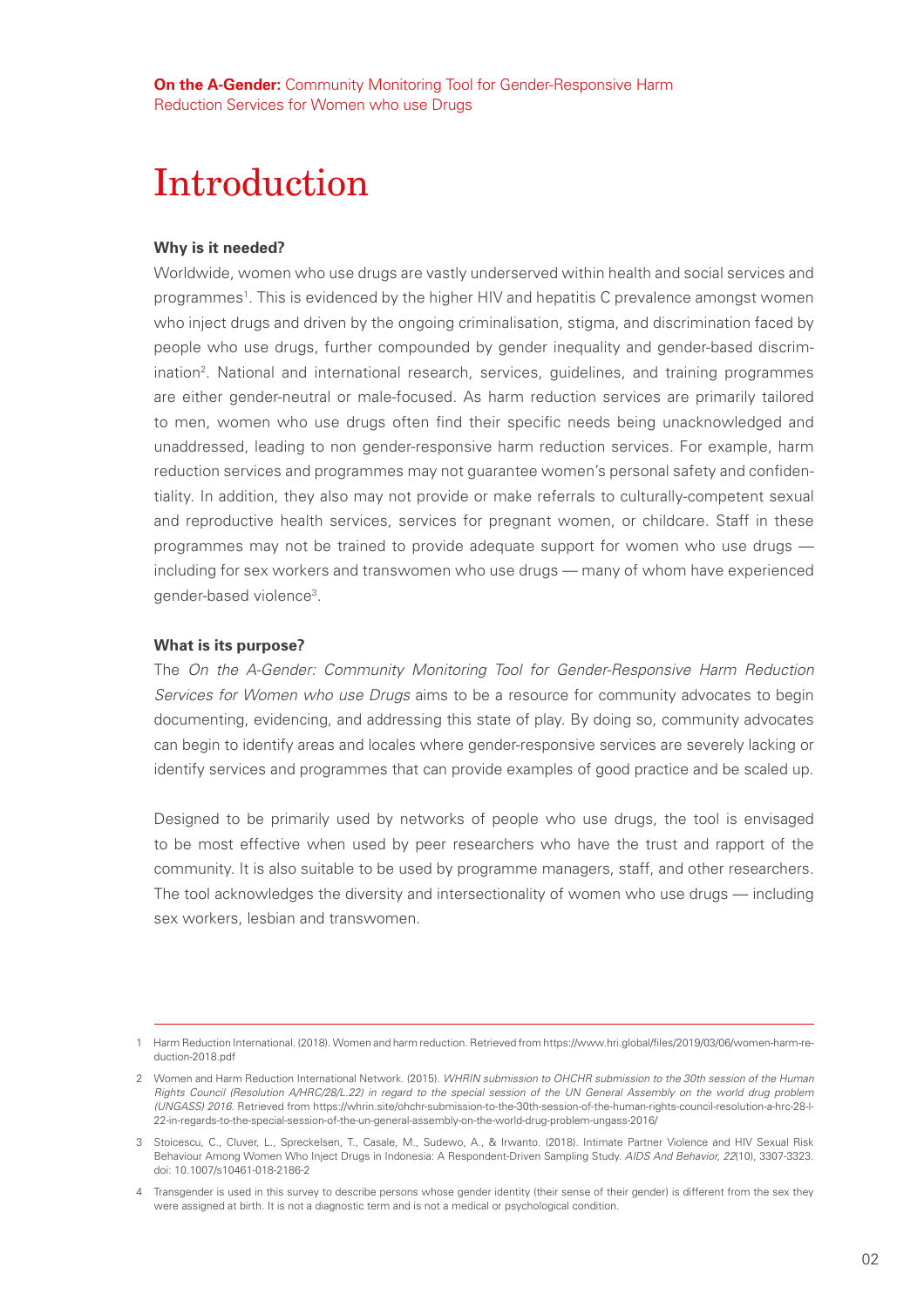**On the A-Gender:** Community Monitoring Tool for Gender-Responsive Harm Reduction Services for Women who use Drugs

# Introduction

#### **Why is it needed?**

Worldwide, women who use drugs are vastly underserved within health and social services and programmes1 . This is evidenced by the higher HIV and hepatitis C prevalence amongst women who inject drugs and driven by the ongoing criminalisation, stigma, and discrimination faced by people who use drugs, further compounded by gender inequality and gender-based discrimination2 . National and international research, services, guidelines, and training programmes are either gender-neutral or male-focused. As harm reduction services are primarily tailored to men, women who use drugs often find their specific needs being unacknowledged and unaddressed, leading to non gender-responsive harm reduction services. For example, harm reduction services and programmes may not guarantee women's personal safety and confidentiality. In addition, they also may not provide or make referrals to culturally-competent sexual and reproductive health services, services for pregnant women, or childcare. Staff in these programmes may not be trained to provide adequate support for women who use drugs including for sex workers and transwomen who use drugs — many of whom have experienced gender-based violence<sup>3</sup>.

#### **What is its purpose?**

The *On the A-Gender: Community Monitoring Tool for Gender-Responsive Harm Reduction Services for Women who use Drugs* aims to be a resource for community advocates to begin documenting, evidencing, and addressing this state of play. By doing so, community advocates can begin to identify areas and locales where gender-responsive services are severely lacking or identify services and programmes that can provide examples of good practice and be scaled up.

Designed to be primarily used by networks of people who use drugs, the tool is envisaged to be most effective when used by peer researchers who have the trust and rapport of the community. It is also suitable to be used by programme managers, staff, and other researchers. The tool acknowledges the diversity and intersectionality of women who use drugs — including sex workers, lesbian and transwomen.

<sup>1</sup> Harm Reduction International. (2018). Women and harm reduction. Retrieved from https://www.hri.global/files/2019/03/06/women-harm-reduction-2018.pdf

<sup>2</sup> Women and Harm Reduction International Network. (2015). *WHRIN submission to OHCHR submission to the 30th session of the Human Rights Council (Resolution A/HRC/28/L.22) in regard to the special session of the UN General Assembly on the world drug problem (UNGASS) 2016.* Retrieved from https://whrin.site/ohchr-submission-to-the-30th-session-of-the-human-rights-council-resolution-a-hrc-28-l-22-in-regards-to-the-special-session-of-the-un-general-assembly-on-the-world-drug-problem-ungass-2016/

<sup>3</sup> Stoicescu, C., Cluver, L., Spreckelsen, T., Casale, M., Sudewo, A., & Irwanto. (2018). Intimate Partner Violence and HIV Sexual Risk Behaviour Among Women Who Inject Drugs in Indonesia: A Respondent-Driven Sampling Study. *AIDS And Behavior, 22*(10), 3307-3323. doi: 10.1007/s10461-018-2186-2

<sup>4</sup> Transgender is used in this survey to describe persons whose gender identity (their sense of their gender) is different from the sex they were assigned at birth. It is not a diagnostic term and is not a medical or psychological condition.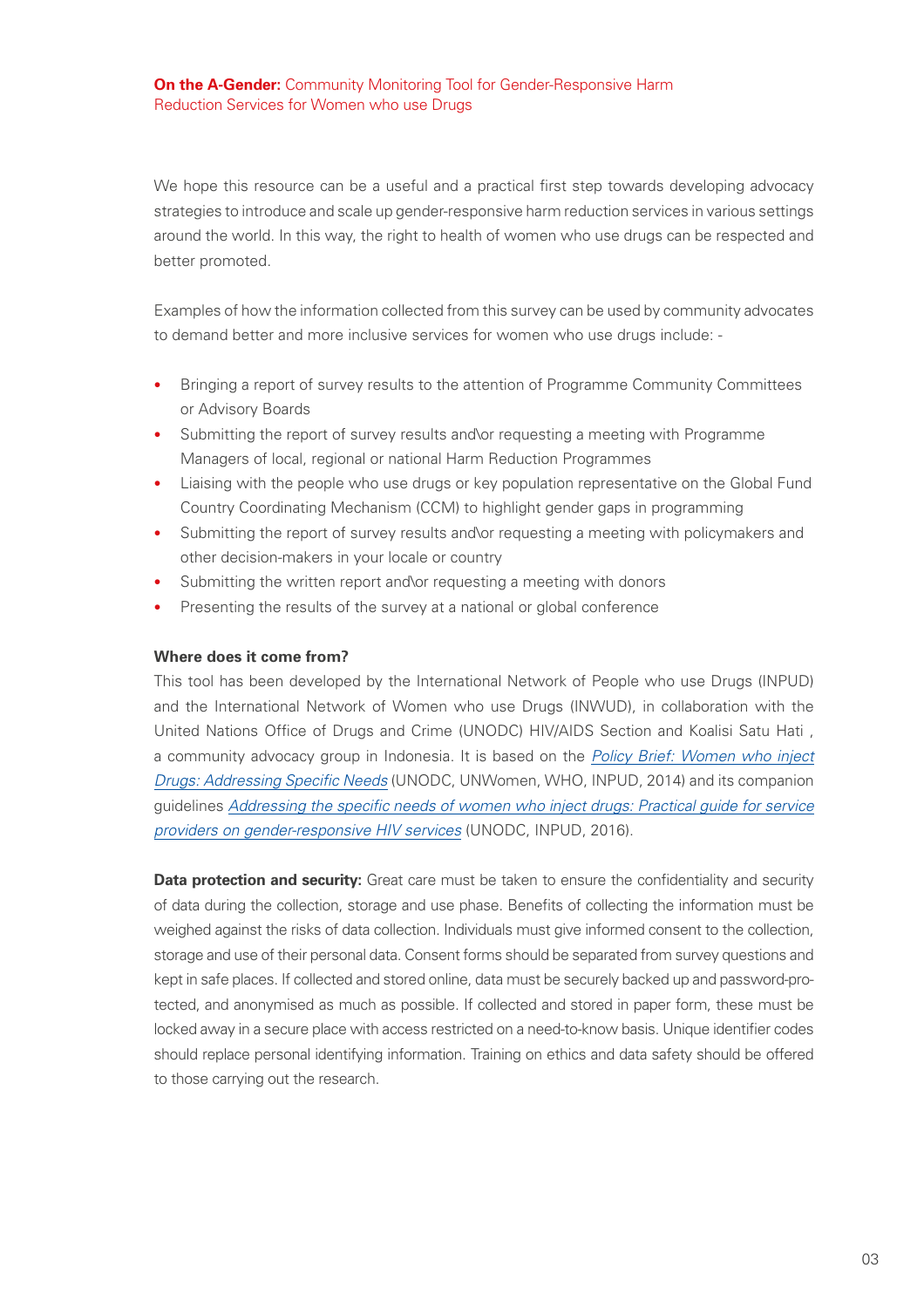We hope this resource can be a useful and a practical first step towards developing advocacy strategies to introduce and scale up gender-responsive harm reduction services in various settings around the world. In this way, the right to health of women who use drugs can be respected and better promoted.

Examples of how the information collected from this survey can be used by community advocates to demand better and more inclusive services for women who use drugs include: -

- Bringing a report of survey results to the attention of Programme Community Committees or Advisory Boards
- Submitting the report of survey results and\or requesting a meeting with Programme Managers of local, regional or national Harm Reduction Programmes
- Liaising with the people who use drugs or key population representative on the Global Fund Country Coordinating Mechanism (CCM) to highlight gender gaps in programming
- Submitting the report of survey results and\or requesting a meeting with policymakers and other decision-makers in your locale or country
- Submitting the written report and or requesting a meeting with donors
- Presenting the results of the survey at a national or global conference

#### **Where does it come from?**

This tool has been developed by the International Network of People who use Drugs (INPUD) and the International Network of Women who use Drugs (INWUD), in collaboration with the United Nations Office of Drugs and Crime (UNODC) HIV/AIDS Section and Koalisi Satu Hati , a community advocacy group in Indonesia. It is based on the *Policy Brief: Women who inject Drugs: Addressing Specific Needs* (UNODC, UNWomen, WHO, INPUD, 2014) and its companion guidelines *Addressing the specific needs of women who inject drugs: Practical guide for service providers on gender-responsive HIV services* (UNODC, INPUD, 2016).

**Data protection and security:** Great care must be taken to ensure the confidentiality and security of data during the collection, storage and use phase. Benefits of collecting the information must be weighed against the risks of data collection. Individuals must give informed consent to the collection, storage and use of their personal data. Consent forms should be separated from survey questions and kept in safe places. If collected and stored online, data must be securely backed up and password-protected, and anonymised as much as possible. If collected and stored in paper form, these must be locked away in a secure place with access restricted on a need-to-know basis. Unique identifier codes should replace personal identifying information. Training on ethics and data safety should be offered to those carrying out the research.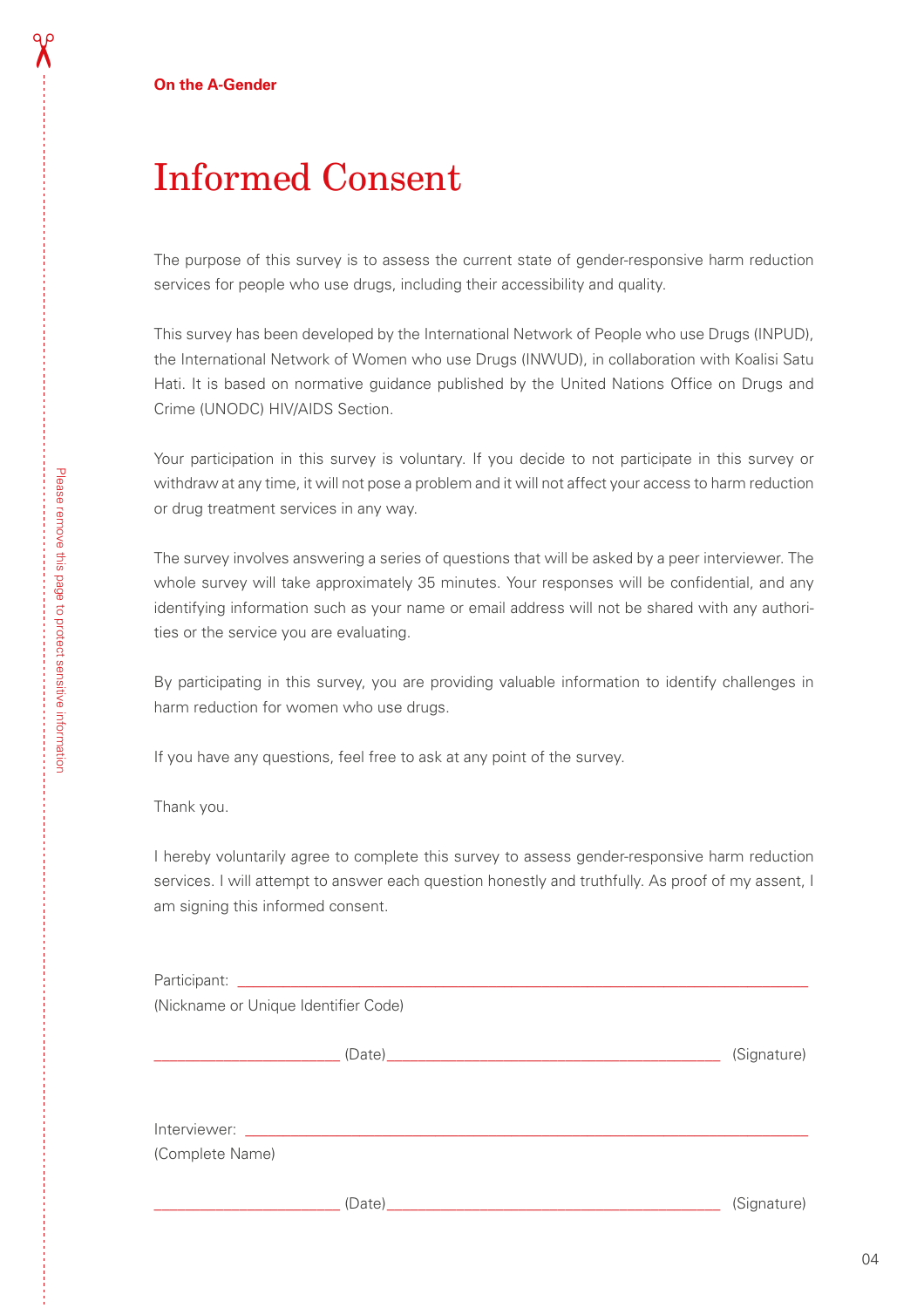# Informed Consent

The purpose of this survey is to assess the current state of gender-responsive harm reduction services for people who use drugs, including their accessibility and quality.

This survey has been developed by the International Network of People who use Drugs (INPUD), the International Network of Women who use Drugs (INWUD), in collaboration with Koalisi Satu Hati. It is based on normative guidance published by the United Nations Office on Drugs and Crime (UNODC) HIV/AIDS Section.

Your participation in this survey is voluntary. If you decide to not participate in this survey or withdraw at any time, it will not pose a problem and it will not affect your access to harm reduction or drug treatment services in any way.

The survey involves answering a series of questions that will be asked by a peer interviewer. The whole survey will take approximately 35 minutes. Your responses will be confidential, and any identifying information such as your name or email address will not be shared with any authorities or the service you are evaluating.

By participating in this survey, you are providing valuable information to identify challenges in harm reduction for women who use drugs.

If you have any questions, feel free to ask at any point of the survey.

Thank you.

I hereby voluntarily agree to complete this survey to assess gender-responsive harm reduction services. I will attempt to answer each question honestly and truthfully. As proof of my assent, I am signing this informed consent.

| (Nickname or Unique Identifier Code) |        |             |
|--------------------------------------|--------|-------------|
|                                      |        | (Signature) |
|                                      |        |             |
| (Complete Name)                      | (Date) | (Signature) |

 $\chi$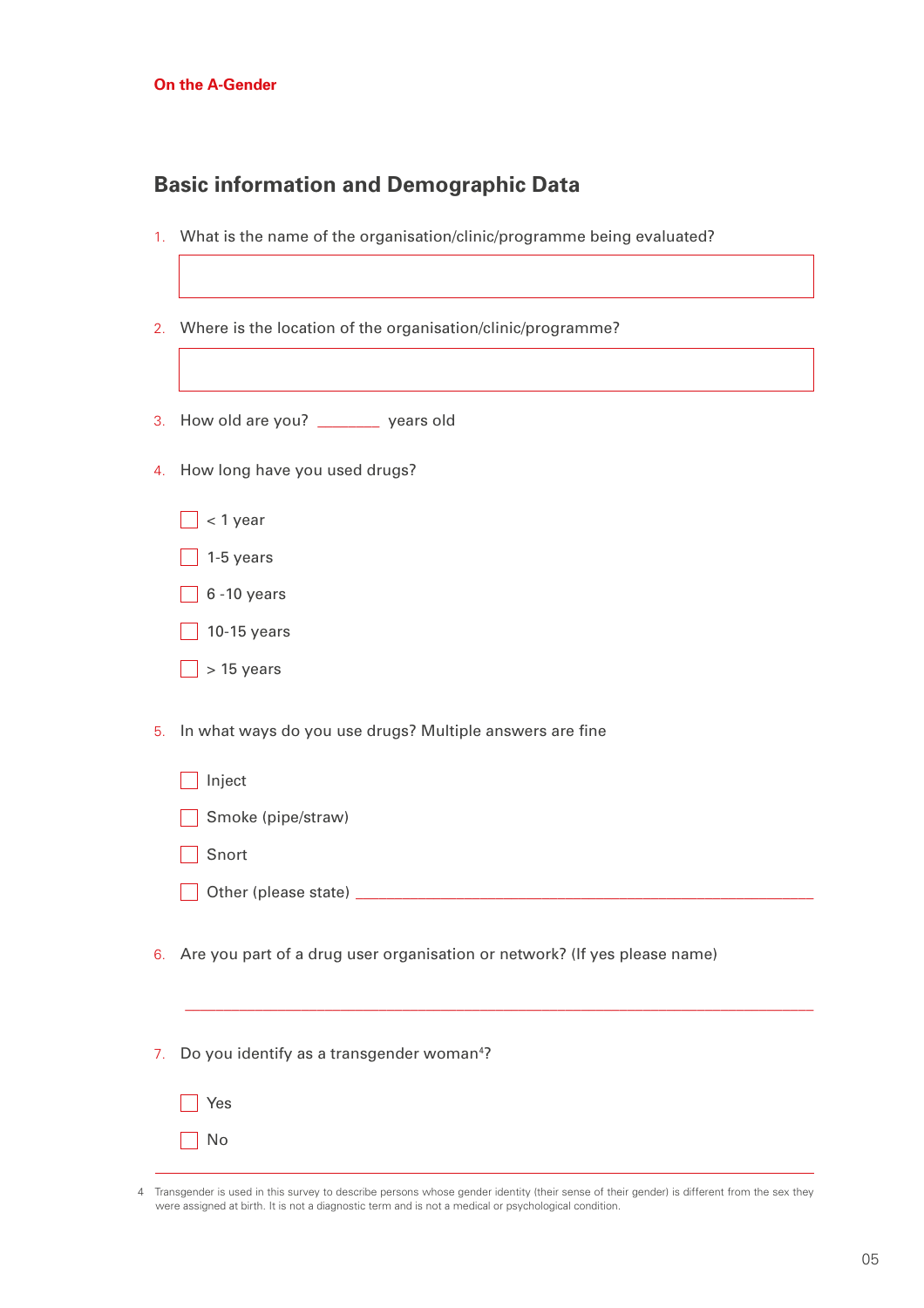#### **Basic information and Demographic Data**

- 1. What is the name of the organisation/clinic/programme being evaluated?
- 2. Where is the location of the organisation/clinic/programme?
- 3. How old are you? \_\_\_\_\_\_\_\_ years old
- 4. How long have you used drugs?
	- $\Box$  < 1 year
	- $\Box$  1-5 years
	- $\Box$  6 -10 years
	- $\Box$  10-15 years
	- $\Box$  > 15 years
- 5. In what ways do you use drugs? Multiple answers are fine
	- $\overline{\phantom{a}}$  Inject
	- Smoke (pipe/straw)
	- Snort
	- Other (please state) \_\_\_\_\_\_\_\_\_\_\_\_\_\_\_\_\_\_\_\_\_\_\_\_\_\_\_\_\_\_\_\_\_\_\_\_\_\_\_\_\_\_\_\_\_\_\_\_\_\_\_\_\_\_\_\_\_\_\_
- 6. Are you part of a drug user organisation or network? (If yes please name)
- 7. Do you identify as a transgender woman<sup>4</sup>?

| ≘s<br>J |
|---------|
|         |

\_\_\_\_\_\_\_\_\_\_\_\_\_\_\_\_\_\_\_\_\_\_\_\_\_\_\_\_\_\_\_\_\_\_\_\_\_\_\_\_\_\_\_\_\_\_\_\_\_\_\_\_\_\_\_\_\_\_\_\_\_\_\_\_\_\_\_\_\_\_\_\_\_\_\_\_\_\_\_\_\_

<sup>4</sup> Transgender is used in this survey to describe persons whose gender identity (their sense of their gender) is different from the sex they were assigned at birth. It is not a diagnostic term and is not a medical or psychological condition.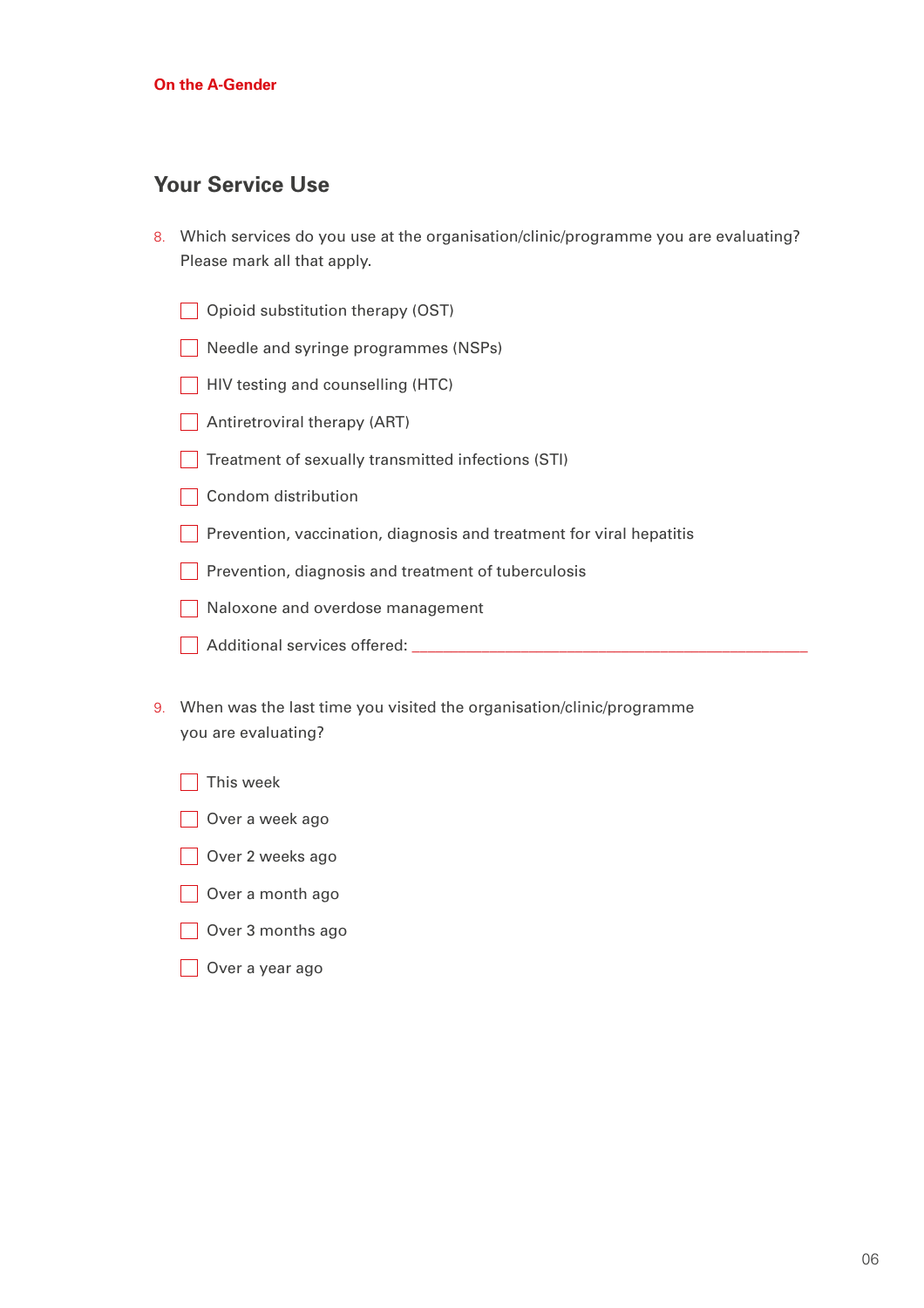#### **Your Service Use**

- 8. Which services do you use at the organisation/clinic/programme you are evaluating? Please mark all that apply.
	- Opioid substitution therapy (OST)
	- Needle and syringe programmes (NSPs)
	- $\Box$  HIV testing and counselling (HTC)
	- Antiretroviral therapy (ART)
	- $\Box$  Treatment of sexually transmitted infections (STI)
	- Condom distribution
	- **Prevention, vaccination, diagnosis and treatment for viral hepatitis**
	- $\Box$  Prevention, diagnosis and treatment of tuberculosis
	- Naloxone and overdose management
	- Additional services offered: \_\_\_\_\_\_\_\_\_\_\_\_\_\_\_\_\_\_\_\_\_\_\_\_\_\_\_\_\_\_\_\_\_\_\_\_\_\_\_\_\_\_\_\_\_\_\_\_\_\_\_
- 9. When was the last time you visited the organisation/clinic/programme you are evaluating?
	- $\Box$  This week
	- Over a week ago
	- Over 2 weeks ago
	- Over a month ago
	- Over 3 months ago
	- Over a year ago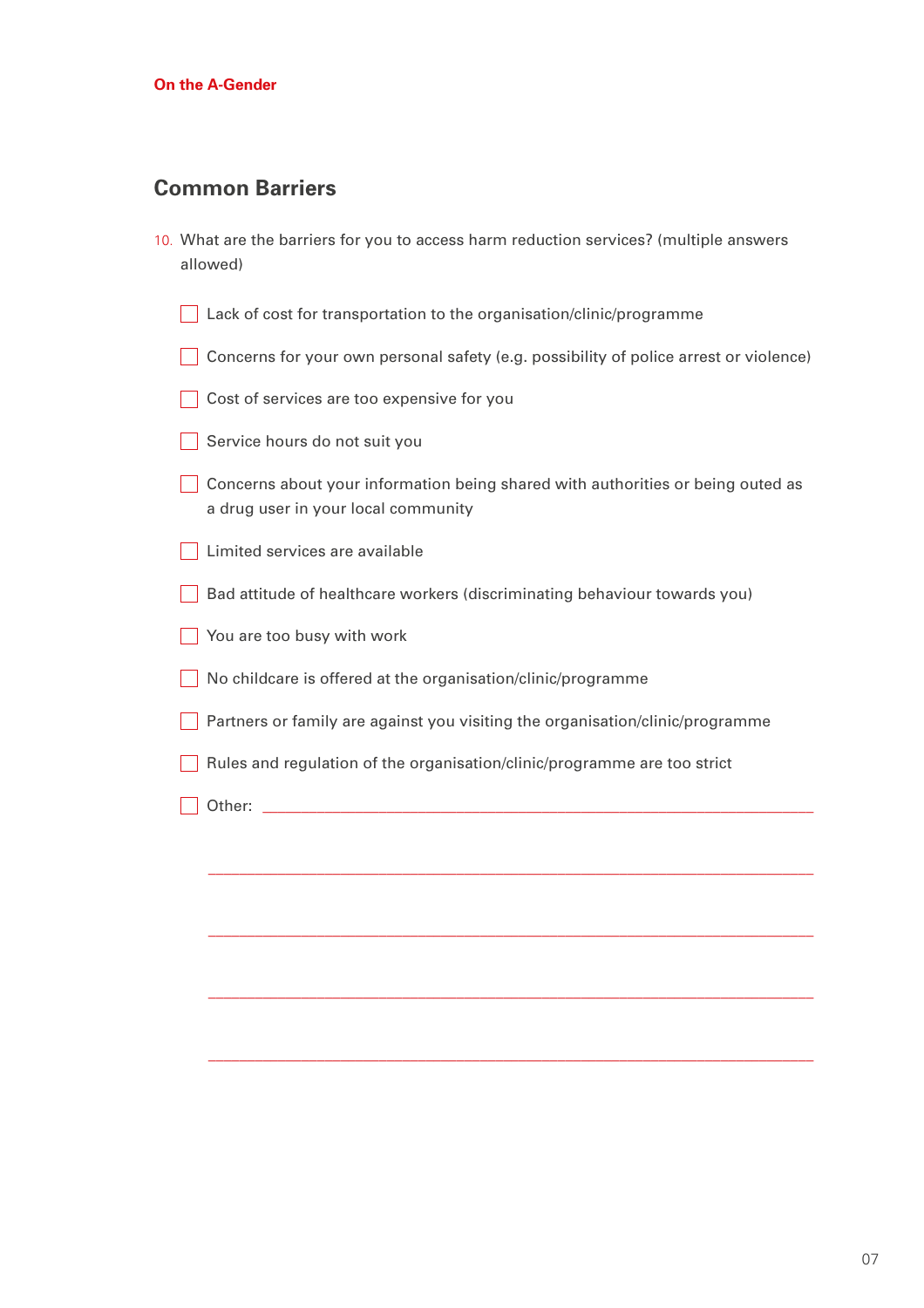#### **Common Barriers**

| 10. What are the barriers for you to access harm reduction services? (multiple answers |  |  |  |  |
|----------------------------------------------------------------------------------------|--|--|--|--|
| allowed)                                                                               |  |  |  |  |

- Lack of cost for transportation to the organisation/clinic/programme
- Concerns for your own personal safety (e.g. possibility of police arrest or violence)
- Cost of services are too expensive for you
- Service hours do not suit you
- ◯ Concerns about your information being shared with authorities or being outed as a drug user in your local community
- **Limited services are available**
- Bad attitude of healthcare workers (discriminating behaviour towards you)
- You are too busy with work
- No childcare is offered at the organisation/clinic/programme
- Partners or family are against you visiting the organisation/clinic/programme

\_\_\_\_\_\_\_\_\_\_\_\_\_\_\_\_\_\_\_\_\_\_\_\_\_\_\_\_\_\_\_\_\_\_\_\_\_\_\_\_\_\_\_\_\_\_\_\_\_\_\_\_\_\_\_\_\_\_\_\_\_\_\_\_\_\_\_\_\_\_\_\_\_\_\_\_\_\_

\_\_\_\_\_\_\_\_\_\_\_\_\_\_\_\_\_\_\_\_\_\_\_\_\_\_\_\_\_\_\_\_\_\_\_\_\_\_\_\_\_\_\_\_\_\_\_\_\_\_\_\_\_\_\_\_\_\_\_\_\_\_\_\_\_\_\_\_\_\_\_\_\_\_\_\_\_\_

\_\_\_\_\_\_\_\_\_\_\_\_\_\_\_\_\_\_\_\_\_\_\_\_\_\_\_\_\_\_\_\_\_\_\_\_\_\_\_\_\_\_\_\_\_\_\_\_\_\_\_\_\_\_\_\_\_\_\_\_\_\_\_\_\_\_\_\_\_\_\_\_\_\_\_\_\_\_

\_\_\_\_\_\_\_\_\_\_\_\_\_\_\_\_\_\_\_\_\_\_\_\_\_\_\_\_\_\_\_\_\_\_\_\_\_\_\_\_\_\_\_\_\_\_\_\_\_\_\_\_\_\_\_\_\_\_\_\_\_\_\_\_\_\_\_\_\_\_\_\_\_\_\_\_\_\_

- Rules and regulation of the organisation/clinic/programme are too strict
- Other: \_\_\_\_\_\_\_\_\_\_\_\_\_\_\_\_\_\_\_\_\_\_\_\_\_\_\_\_\_\_\_\_\_\_\_\_\_\_\_\_\_\_\_\_\_\_\_\_\_\_\_\_\_\_\_\_\_\_\_\_\_\_\_\_\_\_\_\_\_\_\_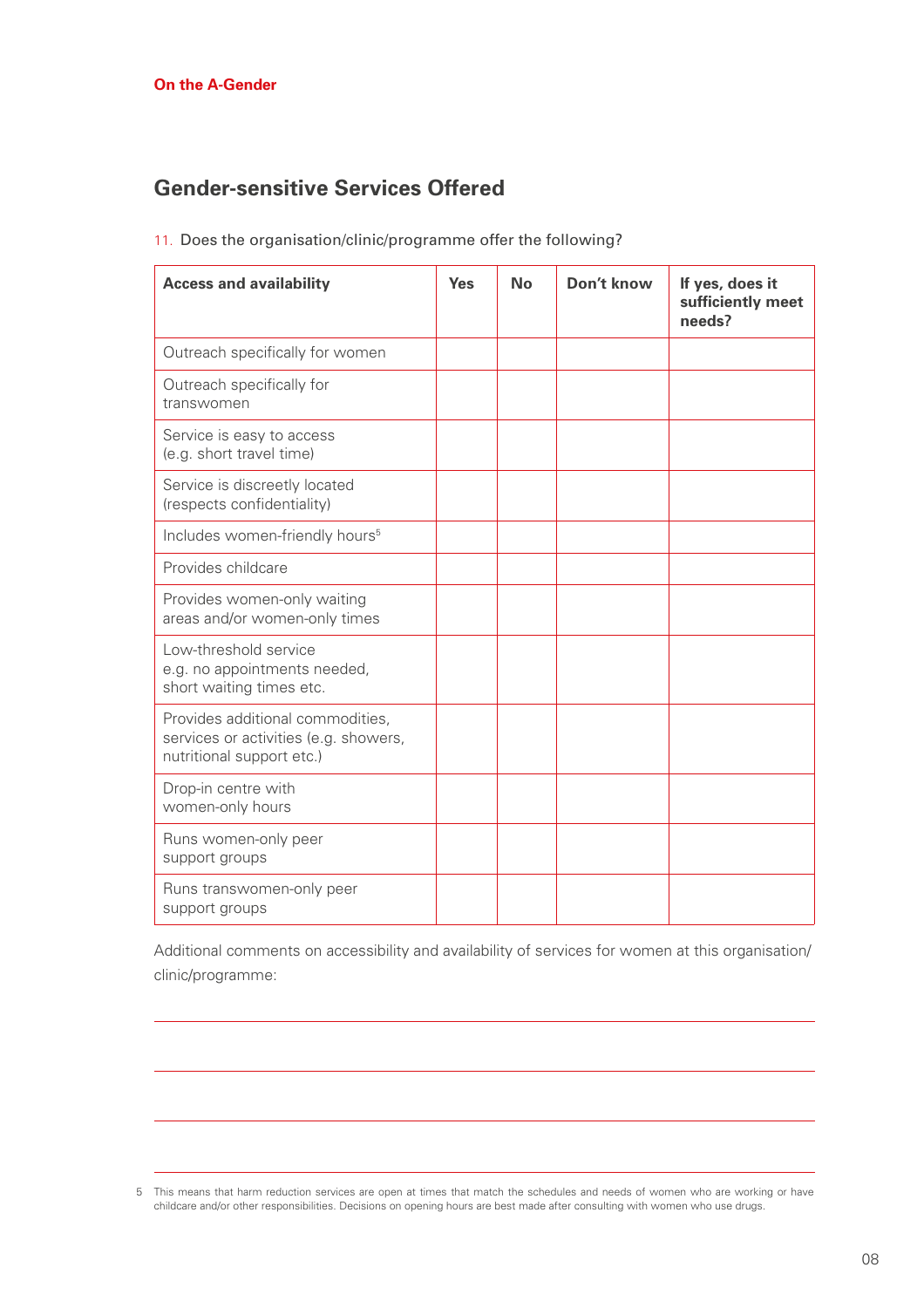### **Gender-sensitive Services Offered**

| <b>Access and availability</b>                                                                         | <b>Yes</b> | <b>No</b> | Don't know | If yes, does it<br>sufficiently meet<br>needs? |
|--------------------------------------------------------------------------------------------------------|------------|-----------|------------|------------------------------------------------|
| Outreach specifically for women                                                                        |            |           |            |                                                |
| Outreach specifically for<br>transwomen                                                                |            |           |            |                                                |
| Service is easy to access<br>(e.g. short travel time)                                                  |            |           |            |                                                |
| Service is discreetly located<br>(respects confidentiality)                                            |            |           |            |                                                |
| Includes women-friendly hours <sup>5</sup>                                                             |            |           |            |                                                |
| Provides childcare                                                                                     |            |           |            |                                                |
| Provides women-only waiting<br>areas and/or women-only times                                           |            |           |            |                                                |
| Low-threshold service<br>e.g. no appointments needed,<br>short waiting times etc.                      |            |           |            |                                                |
| Provides additional commodities,<br>services or activities (e.g. showers,<br>nutritional support etc.) |            |           |            |                                                |
| Drop-in centre with<br>women-only hours                                                                |            |           |            |                                                |
| Runs women-only peer<br>support groups                                                                 |            |           |            |                                                |
| Runs transwomen-only peer<br>support groups                                                            |            |           |            |                                                |

11. Does the organisation/clinic/programme offer the following?

Additional comments on accessibility and availability of services for women at this organisation/ clinic/programme:

<sup>5</sup> This means that harm reduction services are open at times that match the schedules and needs of women who are working or have childcare and/or other responsibilities. Decisions on opening hours are best made after consulting with women who use drugs.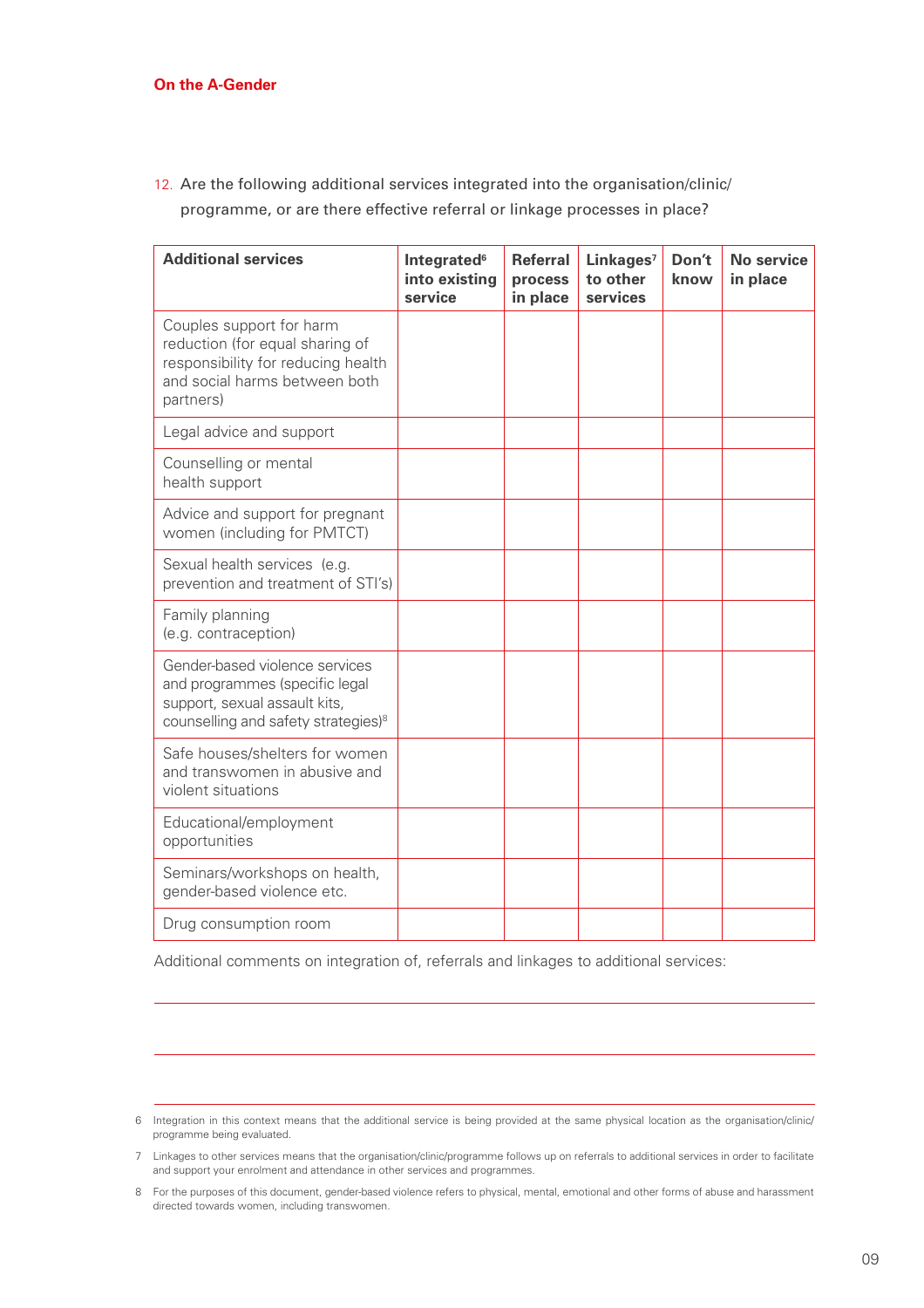12. Are the following additional services integrated into the organisation/clinic/ programme, or are there effective referral or linkage processes in place?

| <b>Additional services</b>                                                                                                                           | Integrated <sup>6</sup><br>into existing<br>service | <b>Referral</b><br>process<br>in place | Linkages <sup>7</sup><br>to other<br>services | Don't<br>know | No service<br>in place |
|------------------------------------------------------------------------------------------------------------------------------------------------------|-----------------------------------------------------|----------------------------------------|-----------------------------------------------|---------------|------------------------|
| Couples support for harm<br>reduction (for equal sharing of<br>responsibility for reducing health<br>and social harms between both<br>partners)      |                                                     |                                        |                                               |               |                        |
| Legal advice and support                                                                                                                             |                                                     |                                        |                                               |               |                        |
| Counselling or mental<br>health support                                                                                                              |                                                     |                                        |                                               |               |                        |
| Advice and support for pregnant<br>women (including for PMTCT)                                                                                       |                                                     |                                        |                                               |               |                        |
| Sexual health services (e.g.<br>prevention and treatment of STI's)                                                                                   |                                                     |                                        |                                               |               |                        |
| Family planning<br>(e.g. contraception)                                                                                                              |                                                     |                                        |                                               |               |                        |
| Gender-based violence services<br>and programmes (specific legal<br>support, sexual assault kits,<br>counselling and safety strategies) <sup>8</sup> |                                                     |                                        |                                               |               |                        |
| Safe houses/shelters for women<br>and transwomen in abusive and<br>violent situations                                                                |                                                     |                                        |                                               |               |                        |
| Educational/employment<br>opportunities                                                                                                              |                                                     |                                        |                                               |               |                        |
| Seminars/workshops on health,<br>gender-based violence etc.                                                                                          |                                                     |                                        |                                               |               |                        |
| Drug consumption room                                                                                                                                |                                                     |                                        |                                               |               |                        |

Additional comments on integration of, referrals and linkages to additional services:

<sup>6</sup> Integration in this context means that the additional service is being provided at the same physical location as the organisation/clinic/ programme being evaluated.

<sup>7</sup> Linkages to other services means that the organisation/clinic/programme follows up on referrals to additional services in order to facilitate and support your enrolment and attendance in other services and programmes.

<sup>8</sup> For the purposes of this document, gender-based violence refers to physical, mental, emotional and other forms of abuse and harassment directed towards women, including transwomen.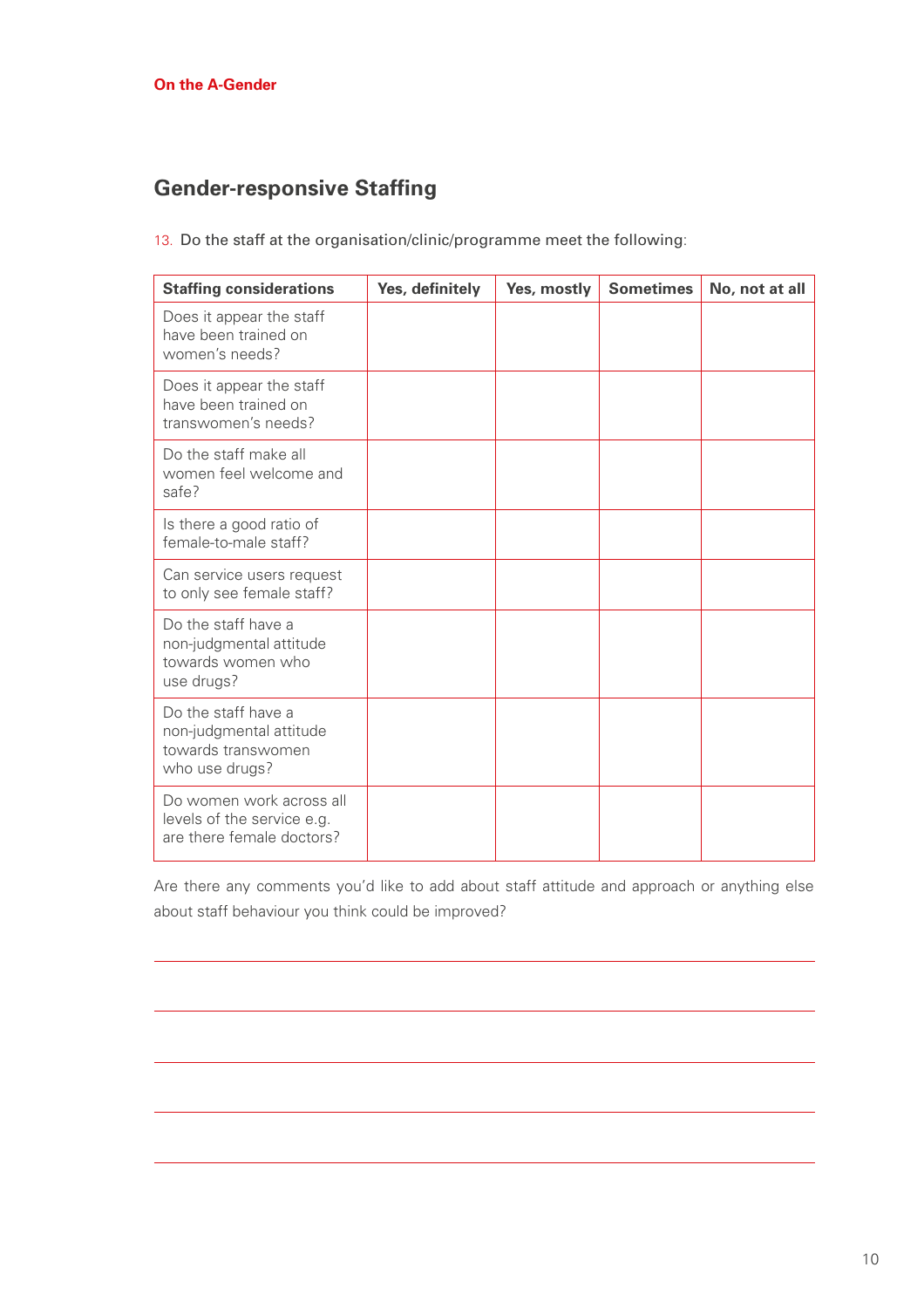## **Gender-responsive Staffing**

13. Do the staff at the organisation/clinic/programme meet the following:

| <b>Staffing considerations</b>                                                         | Yes, definitely | Yes, mostly | <b>Sometimes</b> | No, not at all |
|----------------------------------------------------------------------------------------|-----------------|-------------|------------------|----------------|
| Does it appear the staff<br>have been trained on<br>women's needs?                     |                 |             |                  |                |
| Does it appear the staff<br>have been trained on<br>transwomen's needs?                |                 |             |                  |                |
| Do the staff make all<br>women feel welcome and<br>safe?                               |                 |             |                  |                |
| Is there a good ratio of<br>female-to-male staff?                                      |                 |             |                  |                |
| Can service users request<br>to only see female staff?                                 |                 |             |                  |                |
| Do the staff have a<br>non-judgmental attitude<br>towards women who<br>use drugs?      |                 |             |                  |                |
| Do the staff have a<br>non-judgmental attitude<br>towards transwomen<br>who use drugs? |                 |             |                  |                |
| Do women work across all<br>levels of the service e.g.<br>are there female doctors?    |                 |             |                  |                |

Are there any comments you'd like to add about staff attitude and approach or anything else about staff behaviour you think could be improved?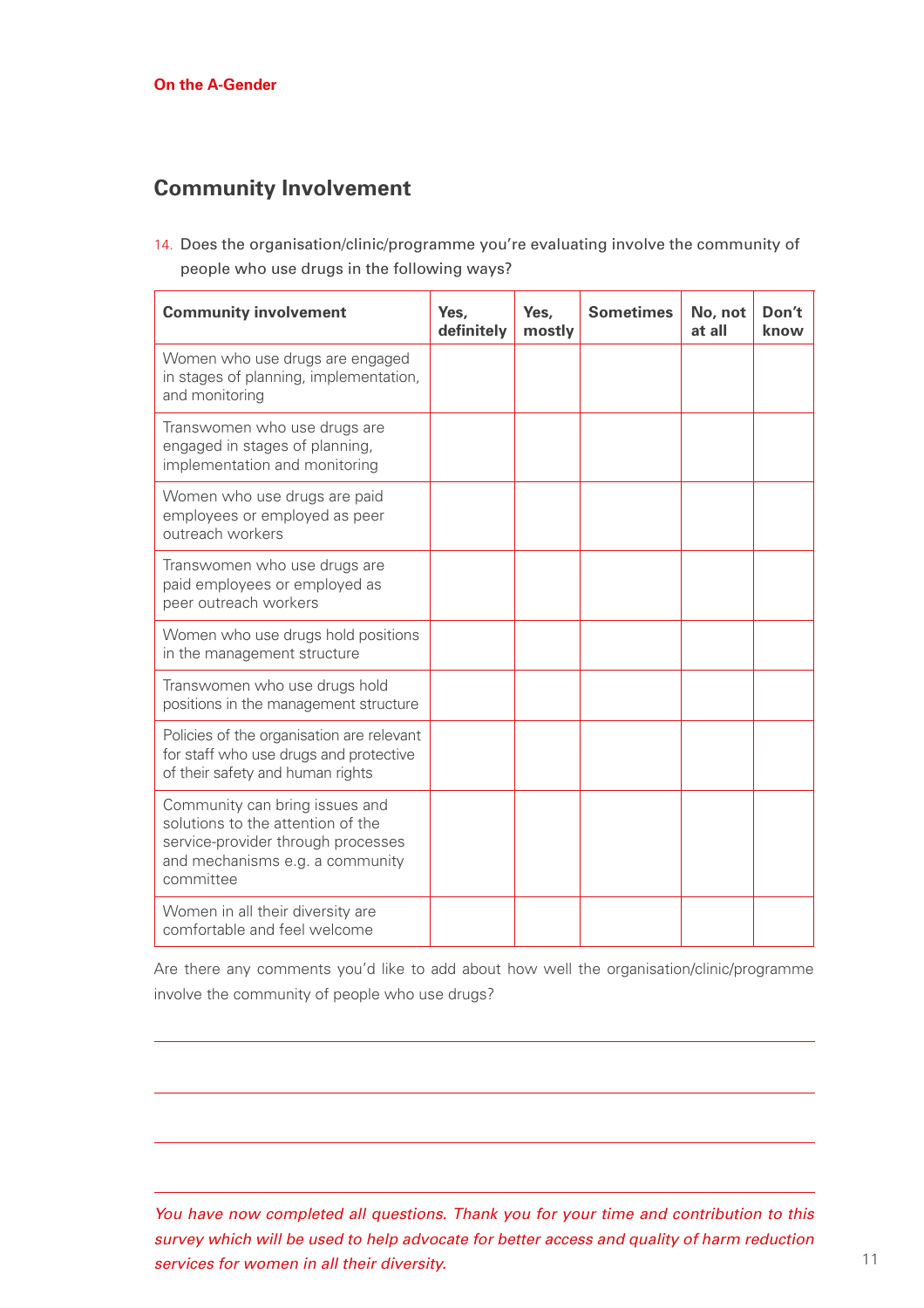## **Community Involvement**

14. Does the organisation/clinic/programme you're evaluating involve the community of people who use drugs in the following ways?

| <b>Community involvement</b>                                                                                                                              | Yes,<br>definitely | Yes,<br>mostly | <b>Sometimes</b> | No, not<br>at all | Don't<br>know |
|-----------------------------------------------------------------------------------------------------------------------------------------------------------|--------------------|----------------|------------------|-------------------|---------------|
| Women who use drugs are engaged<br>in stages of planning, implementation,<br>and monitoring                                                               |                    |                |                  |                   |               |
| Transwomen who use drugs are<br>engaged in stages of planning,<br>implementation and monitoring                                                           |                    |                |                  |                   |               |
| Women who use drugs are paid<br>employees or employed as peer<br>outreach workers                                                                         |                    |                |                  |                   |               |
| Transwomen who use drugs are<br>paid employees or employed as<br>peer outreach workers                                                                    |                    |                |                  |                   |               |
| Women who use drugs hold positions<br>in the management structure                                                                                         |                    |                |                  |                   |               |
| Transwomen who use drugs hold<br>positions in the management structure                                                                                    |                    |                |                  |                   |               |
| Policies of the organisation are relevant<br>for staff who use drugs and protective<br>of their safety and human rights                                   |                    |                |                  |                   |               |
| Community can bring issues and<br>solutions to the attention of the<br>service-provider through processes<br>and mechanisms e.g. a community<br>committee |                    |                |                  |                   |               |
| Women in all their diversity are<br>comfortable and feel welcome                                                                                          |                    |                |                  |                   |               |

Are there any comments you'd like to add about how well the organisation/clinic/programme involve the community of people who use drugs?

*You have now completed all questions. Thank you for your time and contribution to this survey which will be used to help advocate for better access and quality of harm reduction services for women in all their diversity.*